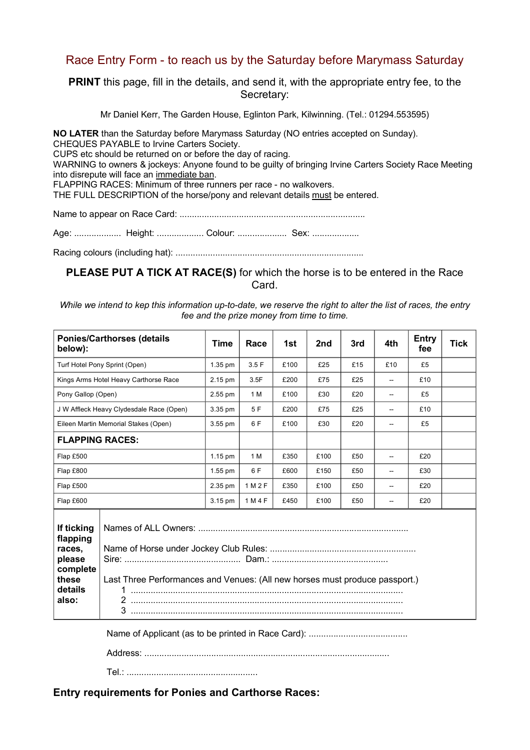## Race Entry Form - to reach us by the Saturday before Marymass Saturday

PRINT this page, fill in the details, and send it, with the appropriate entry fee, to the Secretary:

Mr Daniel Kerr, The Garden House, Eglinton Park, Kilwinning. (Tel.: 01294.553595)

NO LATER than the Saturday before Marymass Saturday (NO entries accepted on Sunday). CHEQUES PAYABLE to Irvine Carters Society. CUPS etc should be returned on or before the day of racing. WARNING to owners & jockeys: Anyone found to be guilty of bringing Irvine Carters Society Race Meeting into disrepute will face an immediate ban. FLAPPING RACES: Minimum of three runners per race - no walkovers. THE FULL DESCRIPTION of the horse/pony and relevant details must be entered.

Name to appear on Race Card: ...........................................................................

Age: ................... Height: ................... Colour: .................... Sex: ...................

Racing colours (including hat): ............................................................................

PLEASE PUT A TICK AT RACE(S) for which the horse is to be entered in the Race Card.

While we intend to kep this information up-to-date, we reserve the right to alter the list of races, the entry fee and the prize money from time to time.

| <b>Ponies/Carthorses (details</b><br>below):                                        |                                                                                       | <b>Time</b> | Race    | 1st  | 2nd  | 3rd | 4th            | <b>Entry</b><br>fee | <b>Tick</b> |
|-------------------------------------------------------------------------------------|---------------------------------------------------------------------------------------|-------------|---------|------|------|-----|----------------|---------------------|-------------|
| Turf Hotel Pony Sprint (Open)                                                       |                                                                                       | 1.35 pm     | 3.5F    | £100 | £25  | £15 | £10            | £5                  |             |
| Kings Arms Hotel Heavy Carthorse Race                                               |                                                                                       | 2.15 pm     | 3.5F    | £200 | £75  | £25 | --             | £10                 |             |
| Pony Gallop (Open)                                                                  |                                                                                       | 2.55 pm     | 1 M     | £100 | £30  | £20 | $\overline{a}$ | £5                  |             |
| J W Affleck Heavy Clydesdale Race (Open)                                            |                                                                                       | 3.35 pm     | 5F      | £200 | £75  | £25 | $-$            | £10                 |             |
| Eileen Martin Memorial Stakes (Open)                                                |                                                                                       | 3.55 pm     | 6 F     | £100 | £30  | £20 | $\overline{a}$ | £5                  |             |
| <b>FLAPPING RACES:</b>                                                              |                                                                                       |             |         |      |      |     |                |                     |             |
| Flap £500                                                                           |                                                                                       | $1.15$ pm   | 1 M     | £350 | £100 | £50 |                | £20                 |             |
| Flap £800                                                                           |                                                                                       | 1.55 pm     | 6 F     | £600 | £150 | £50 |                | £30                 |             |
| Flap £500                                                                           |                                                                                       | 2.35 pm     | 1 M 2 F | £350 | £100 | £50 | --             | £20                 |             |
| Flap £600                                                                           |                                                                                       | 3.15 pm     | 1 M 4 F | £450 | £100 | £50 | --             | £20                 |             |
| If ticking<br>flapping<br>races,<br>please<br>complete<br>these<br>details<br>also: | Last Three Performances and Venues: (All new horses must produce passport.)<br>1<br>3 |             |         |      |      |     |                |                     |             |
|                                                                                     |                                                                                       |             |         |      |      |     |                |                     |             |

Address: ...................................................................................................

Tel.: .....................................................

Entry requirements for Ponies and Carthorse Races: